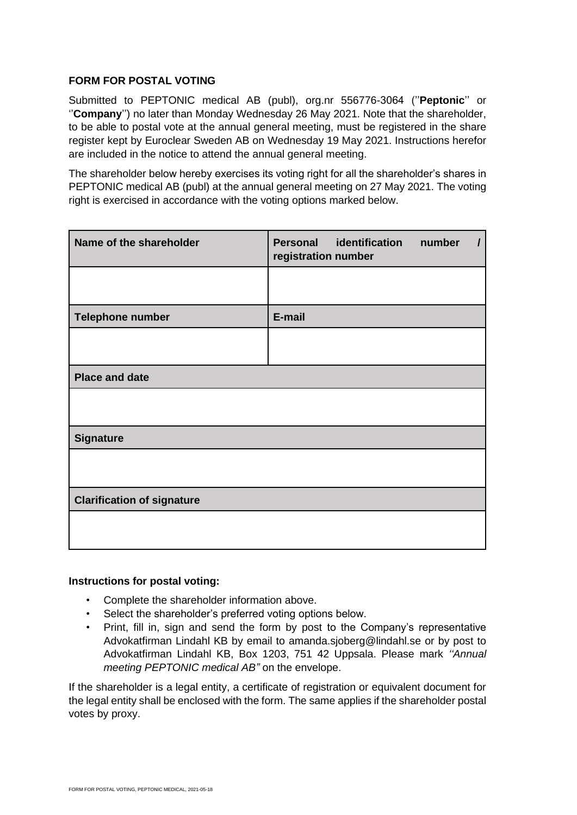## **FORM FOR POSTAL VOTING**

Submitted to PEPTONIC medical AB (publ), org.nr 556776-3064 (''**Peptonic**'' or ''**Company**'') no later than Monday Wednesday 26 May 2021. Note that the shareholder, to be able to postal vote at the annual general meeting, must be registered in the share register kept by Euroclear Sweden AB on Wednesday 19 May 2021. Instructions herefor are included in the notice to attend the annual general meeting.

The shareholder below hereby exercises its voting right for all the shareholder's shares in PEPTONIC medical AB (publ) at the annual general meeting on 27 May 2021. The voting right is exercised in accordance with the voting options marked below.

| Name of the shareholder           | identification<br><b>Personal</b><br>number<br>registration number |
|-----------------------------------|--------------------------------------------------------------------|
|                                   |                                                                    |
| <b>Telephone number</b>           | E-mail                                                             |
|                                   |                                                                    |
| <b>Place and date</b>             |                                                                    |
|                                   |                                                                    |
| <b>Signature</b>                  |                                                                    |
|                                   |                                                                    |
| <b>Clarification of signature</b> |                                                                    |
|                                   |                                                                    |

## **Instructions for postal voting:**

- Complete the shareholder information above.
- Select the shareholder's preferred voting options below.
- Print, fill in, sign and send the form by post to the Company's representative Advokatfirman Lindahl KB by email to amanda.sjoberg@lindahl.se or by post to Advokatfirman Lindahl KB, Box 1203, 751 42 Uppsala. Please mark *''Annual meeting PEPTONIC medical AB"* on the envelope.

If the shareholder is a legal entity, a certificate of registration or equivalent document for the legal entity shall be enclosed with the form. The same applies if the shareholder postal votes by proxy.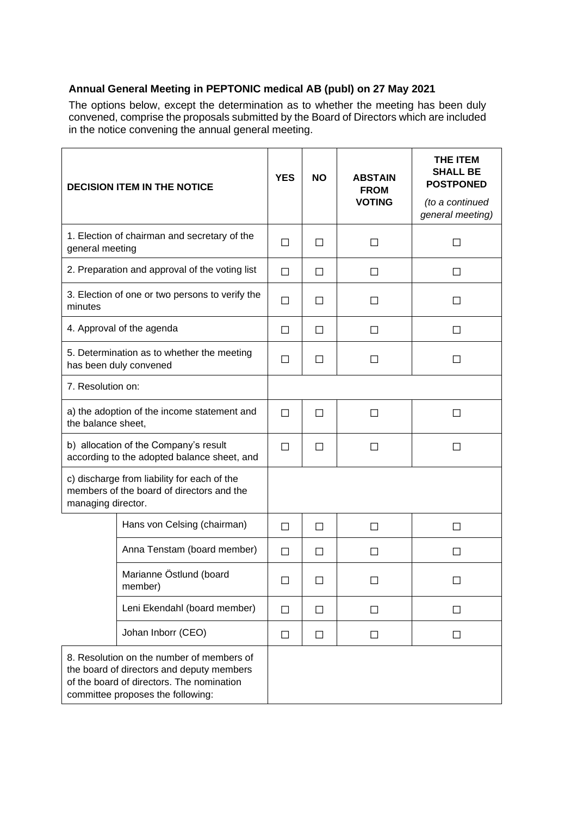## **Annual General Meeting in PEPTONIC medical AB (publ) on 27 May 2021**

The options below, except the determination as to whether the meeting has been duly convened, comprise the proposals submitted by the Board of Directors which are included in the notice convening the annual general meeting.

| <b>DECISION ITEM IN THE NOTICE</b>                                                                                                                                       |                                    | <b>YES</b> | <b>NO</b> | <b>ABSTAIN</b><br><b>FROM</b><br><b>VOTING</b> | THE ITEM<br><b>SHALL BE</b><br><b>POSTPONED</b><br>(to a continued<br>general meeting) |
|--------------------------------------------------------------------------------------------------------------------------------------------------------------------------|------------------------------------|------------|-----------|------------------------------------------------|----------------------------------------------------------------------------------------|
| 1. Election of chairman and secretary of the<br>general meeting                                                                                                          |                                    | П          | П         | П                                              | $\Box$                                                                                 |
| 2. Preparation and approval of the voting list                                                                                                                           |                                    | П          | П         | П                                              | П                                                                                      |
| 3. Election of one or two persons to verify the<br>minutes                                                                                                               |                                    | $\Box$     | П         | $\Box$                                         | $\Box$                                                                                 |
| 4. Approval of the agenda                                                                                                                                                |                                    | $\Box$     | П         | $\perp$                                        | ΙI                                                                                     |
| 5. Determination as to whether the meeting<br>has been duly convened                                                                                                     |                                    | $\Box$     | $\Box$    | $\mathsf{L}$                                   | ΙI                                                                                     |
| 7. Resolution on:                                                                                                                                                        |                                    |            |           |                                                |                                                                                        |
| a) the adoption of the income statement and<br>the balance sheet,                                                                                                        |                                    | $\Box$     | $\Box$    | П                                              | П                                                                                      |
| b) allocation of the Company's result<br>according to the adopted balance sheet, and                                                                                     |                                    | $\Box$     | $\Box$    | П                                              | $\Box$                                                                                 |
| c) discharge from liability for each of the<br>members of the board of directors and the<br>managing director.                                                           |                                    |            |           |                                                |                                                                                        |
|                                                                                                                                                                          | Hans von Celsing (chairman)        | П          | П         | П                                              | П                                                                                      |
|                                                                                                                                                                          | Anna Tenstam (board member)        | $\Box$     | $\Box$    | $\Box$                                         | $\Box$                                                                                 |
|                                                                                                                                                                          | Marianne Östlund (board<br>member) | $\Box$     | $\Box$    |                                                |                                                                                        |
|                                                                                                                                                                          | Leni Ekendahl (board member)       | $\Box$     | □         | $\Box$                                         | $\Box$                                                                                 |
|                                                                                                                                                                          | Johan Inborr (CEO)                 | $\Box$     | $\Box$    | П                                              | $\Box$                                                                                 |
| 8. Resolution on the number of members of<br>the board of directors and deputy members<br>of the board of directors. The nomination<br>committee proposes the following: |                                    |            |           |                                                |                                                                                        |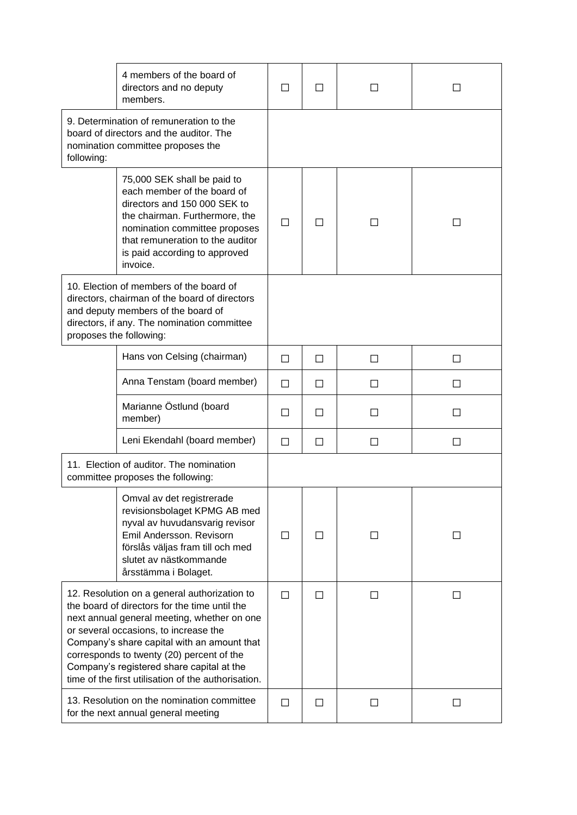|                                                                                                                                                                                                                                                                                                                                                                                       | 4 members of the board of<br>directors and no deputy<br>members.                                                                                                                                                                               | $\Box$ | $\Box$ |        |               |
|---------------------------------------------------------------------------------------------------------------------------------------------------------------------------------------------------------------------------------------------------------------------------------------------------------------------------------------------------------------------------------------|------------------------------------------------------------------------------------------------------------------------------------------------------------------------------------------------------------------------------------------------|--------|--------|--------|---------------|
| 9. Determination of remuneration to the<br>board of directors and the auditor. The<br>nomination committee proposes the<br>following:                                                                                                                                                                                                                                                 |                                                                                                                                                                                                                                                |        |        |        |               |
|                                                                                                                                                                                                                                                                                                                                                                                       | 75,000 SEK shall be paid to<br>each member of the board of<br>directors and 150 000 SEK to<br>the chairman. Furthermore, the<br>nomination committee proposes<br>that remuneration to the auditor<br>is paid according to approved<br>invoice. | $\Box$ | $\Box$ |        | H             |
| 10. Election of members of the board of<br>directors, chairman of the board of directors<br>and deputy members of the board of<br>directors, if any. The nomination committee<br>proposes the following:                                                                                                                                                                              |                                                                                                                                                                                                                                                |        |        |        |               |
|                                                                                                                                                                                                                                                                                                                                                                                       | Hans von Celsing (chairman)                                                                                                                                                                                                                    | П      | П      | П      | ΙI            |
|                                                                                                                                                                                                                                                                                                                                                                                       | Anna Tenstam (board member)                                                                                                                                                                                                                    | П      | П      |        | ΙI            |
|                                                                                                                                                                                                                                                                                                                                                                                       | Marianne Östlund (board<br>member)                                                                                                                                                                                                             | $\Box$ | $\Box$ |        |               |
|                                                                                                                                                                                                                                                                                                                                                                                       | Leni Ekendahl (board member)                                                                                                                                                                                                                   | □      | $\Box$ | $\Box$ | $\mathcal{L}$ |
| 11. Election of auditor. The nomination<br>committee proposes the following:                                                                                                                                                                                                                                                                                                          |                                                                                                                                                                                                                                                |        |        |        |               |
|                                                                                                                                                                                                                                                                                                                                                                                       | Omval av det registrerade<br>revisionsbolaget KPMG AB med<br>nyval av huvudansvarig revisor<br>Emil Andersson. Revisorn<br>förslås väljas fram till och med<br>slutet av nästkommande<br>årsstämma i Bolaget.                                  | □      | $\Box$ | $\Box$ | $\mathsf{L}$  |
| 12. Resolution on a general authorization to<br>the board of directors for the time until the<br>next annual general meeting, whether on one<br>or several occasions, to increase the<br>Company's share capital with an amount that<br>corresponds to twenty (20) percent of the<br>Company's registered share capital at the<br>time of the first utilisation of the authorisation. |                                                                                                                                                                                                                                                | П      | $\Box$ | Ш      | П             |
| 13. Resolution on the nomination committee<br>for the next annual general meeting                                                                                                                                                                                                                                                                                                     |                                                                                                                                                                                                                                                | $\Box$ | $\Box$ | П      | $\Box$        |